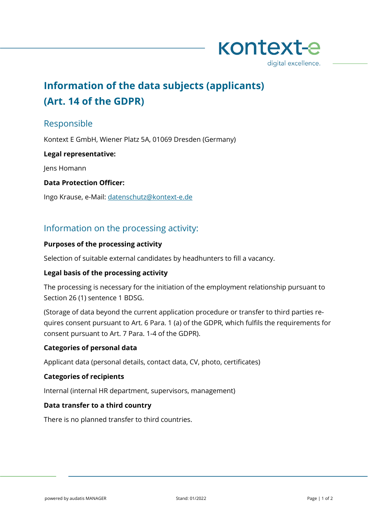

# **Information of the data subjects (applicants) (Art. 14 of the GDPR)**

# Responsible

Kontext E GmbH, Wiener Platz 5A, 01069 Dresden (Germany)

#### **Legal representative:**

Jens Homann

#### **Data Protection Officer:**

Ingo Krause, e-Mail: [datenschutz@kontext-e.de](mailto:datenschutz@kontext-e.de)

## Information on the processing activity:

#### **Purposes of the processing activity**

Selection of suitable external candidates by headhunters to fill a vacancy.

## **Legal basis of the processing activity**

The processing is necessary for the initiation of the employment relationship pursuant to Section 26 (1) sentence 1 BDSG.

(Storage of data beyond the current application procedure or transfer to third parties requires consent pursuant to Art. 6 Para. 1 (a) of the GDPR, which fulfils the requirements for consent pursuant to Art. 7 Para. 1-4 of the GDPR).

#### **Categories of personal data**

Applicant data (personal details, contact data, CV, photo, certificates)

#### **Categories of recipients**

Internal (internal HR department, supervisors, management)

#### **Data transfer to a third country**

There is no planned transfer to third countries.